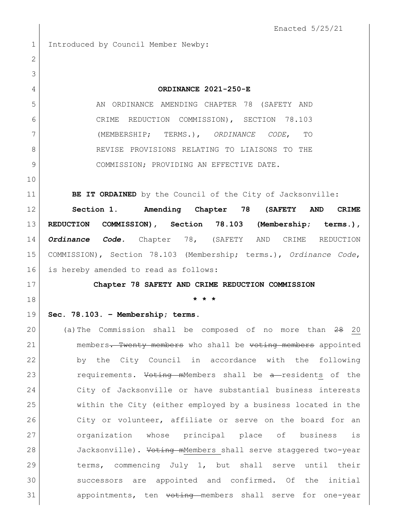Enacted 5/25/21 1 Introduced by Council Member Newby: **ORDINANCE 2021-250-E** AN ORDINANCE AMENDING CHAPTER 78 (SAFETY AND CRIME REDUCTION COMMISSION), SECTION 78.103 (MEMBERSHIP; TERMS.), *ORDINANCE CODE*, TO 8 REVISE PROVISIONS RELATING TO LIAISONS TO THE COMMISSION; PROVIDING AN EFFECTIVE DATE. **BE IT ORDAINED** by the Council of the City of Jacksonville: **Section 1. Amending Chapter 78 (SAFETY AND CRIME REDUCTION COMMISSION), Section 78.103 (Membership; terms.),**  *Ordinance Code.* Chapter 78, (SAFETY AND CRIME REDUCTION COMMISSION), Section 78.103 (Membership; terms.), *Ordinance Code*, 16 is hereby amended to read as follows: **Chapter 78 SAFETY AND CRIME REDUCTION COMMISSION \* \* \* Sec. 78.103. – Membership; terms.** (a)The Commission shall be composed of no more than 28 20 21 members. Twenty members who shall be voting members appointed by the City Council in accordance with the following 23 requirements. Voting mMembers shall be a-residents of the City of Jacksonville or have substantial business interests within the City (either employed by a business located in the 26 City or volunteer, affiliate or serve on the board for an organization whose principal place of business is 28 Jacksonville). Voting mMembers shall serve staggered two-year 29 10 terms, commencing July 1, but shall serve until their successors are appointed and confirmed. Of the initial 31 appointments, ten voting members shall serve for one-year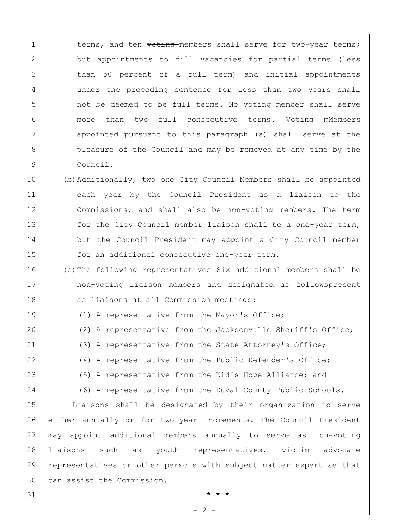1 terms, and ten voting members shall serve for two-year terms; 2 but appointments to fill vacancies for partial terms (less 3 than 50 percent of a full term) and initial appointments 4 under the preceding sentence for less than two years shall 5 not be deemed to be full terms. No voting member shall serve 6 more than two full consecutive terms. Voting mMembers 7 appointed pursuant to this paragraph (a) shall serve at the 8 pleasure of the Council and may be removed at any time by the 9 Council.

- 10 (b)Additionally, two one City Council Members shall be appointed 11 each year by the Council President as a liaison to the 12 commission<del>s, and shall also be non-voting members</del>. The term 13 for the City Council member-liaison shall be a one-year term, 14 but the Council President may appoint a City Council member 15 for an additional consecutive one-year term.
- 16 (c)The following representatives  $S<sub>i</sub>$ x additional members shall be 17 **non-voting liaison members and designated as follows**present 18 as liaisons at all Commission meetings:
- 19 (1) A representative from the Mayor's Office;
- 20 (2) A representative from the Jacksonville Sheriff's Office;
- 21 (3) A representative from the State Attorney's Office;
- 22 (4) A representative from the Public Defender's Office;
- 23 (5) A representative from the Kid's Hope Alliance; and
- 24 (6) A representative from the Duval County Public Schools.

 Liaisons shall be designated by their organization to serve either annually or for two-year increments. The Council President 27 may appoint additional members annually to serve as non-voting liaisons such as youth representatives, victim advocate representatives or other persons with subject matter expertise that can assist the Commission.

31 **\* \* \***